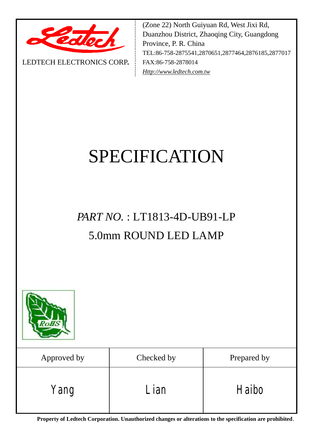

LEDTECH ELECTRONICS CORP**.**

(Zone 22) North Guiyuan Rd, West Jixi Rd, Duanzhou District, Zhaoqing City, Guangdong Province, P. R. China TEL:86-758-2875541,2870651,2877464,2876185,2877017 FAX:86-758-2878014 *[Http://www.ledtech.com.tw](http://www.ledtech.com.tw)*

# SPECIFICATION

# *PART NO.* : LT1813-4D-UB91-LP 5.0mm ROUND LED LAMP



| Approved by | Checked by | Prepared by |  |  |
|-------------|------------|-------------|--|--|
| Yang        | Lian       | Haibo       |  |  |

**Property of Ledtech Corporation. Unauthorized changes or alterations to the specification are prohibited***.*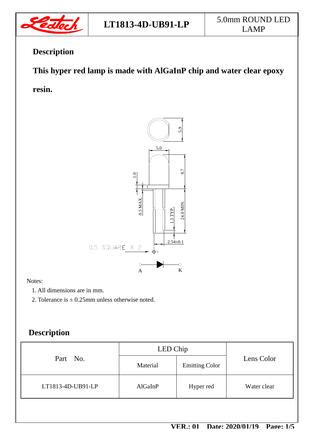

# **Description**

# **This hyper red lamp is made with AlGaInP chip and water clear epoxy**

**resin.** 



#### Notes:

- 1. All dimensions are in mm.
- 2. Tolerance is  $\pm$  0.25mm unless otherwise noted.

# **Description**

|                   | LED Chip |                       |             |  |
|-------------------|----------|-----------------------|-------------|--|
| Part No.          | Material | <b>Emitting Color</b> | Lens Color  |  |
| LT1813-4D-UB91-LP | AlGaInP  | Hyper red             | Water clear |  |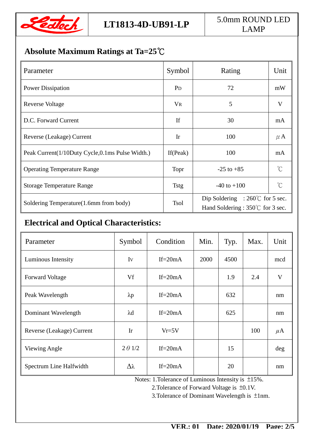

# **Absolute Maximum Ratings at Ta=25℃**

| Parameter                                       | Symbol         | Rating                                                                                | Unit                    |
|-------------------------------------------------|----------------|---------------------------------------------------------------------------------------|-------------------------|
| <b>Power Dissipation</b>                        | P <sub>D</sub> | 72                                                                                    | mW                      |
| Reverse Voltage                                 | $V_{R}$        | 5                                                                                     | $\overline{\mathbf{V}}$ |
| D.C. Forward Current                            | If             | 30                                                                                    | mA                      |
| Reverse (Leakage) Current                       | Ir             | 100                                                                                   | $\mu$ A                 |
| Peak Current(1/10Duty Cycle,0.1ms Pulse Width.) | If $(Peak)$    | 100                                                                                   | mA                      |
| <b>Operating Temperature Range</b>              | Topr           | $-25$ to $+85$                                                                        | $\int_{0}^{\infty}$     |
| <b>Storage Temperature Range</b>                | <b>Tstg</b>    | $-40$ to $+100$                                                                       | $\gamma^{\circ}$        |
| Soldering Temperature(1.6mm from body)          | <b>Tsol</b>    | Dip Soldering : $260^{\circ}$ for 5 sec.<br>Hand Soldering : $350^{\circ}$ for 3 sec. |                         |

# **Electrical and Optical Characteristics:**

| Parameter                 | Symbol          | Condition   | Min. | Typ. | Max. | Unit    |
|---------------------------|-----------------|-------------|------|------|------|---------|
| Luminous Intensity        | Iv              | $If = 20mA$ | 2000 | 4500 |      | mcd     |
| <b>Forward Voltage</b>    | Vf              | If= $20mA$  |      | 1.9  | 2.4  | V       |
| Peak Wavelength           | $\lambda p$     | $If = 20mA$ |      | 632  |      | nm      |
| Dominant Wavelength       | $\lambda$ d     | If= $20mA$  |      | 625  |      | nm      |
| Reverse (Leakage) Current | Ir              | $Vr=5V$     |      |      | 100  | $\mu$ A |
| Viewing Angle             | $2 \theta$ 1/2  | $If = 20mA$ |      | 15   |      | deg     |
| Spectrum Line Halfwidth   | $\Delta\lambda$ | If= $20mA$  |      | 20   |      | nm      |

Notes: 1.Tolerance of Luminous Intensity is ±15%.

2.Tolerance of Forward Voltage is ±0.1V.

3.Tolerance of Dominant Wavelength is ±1nm.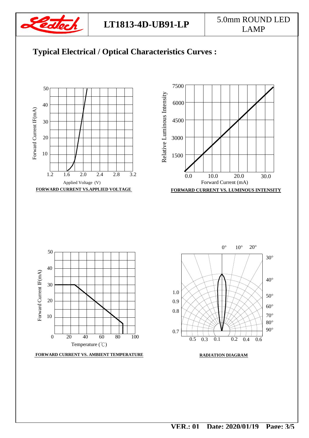









**FORWARD CURRENT VS. AMBIENT TEMPERATURE**



**RADIATION DIAGRAM**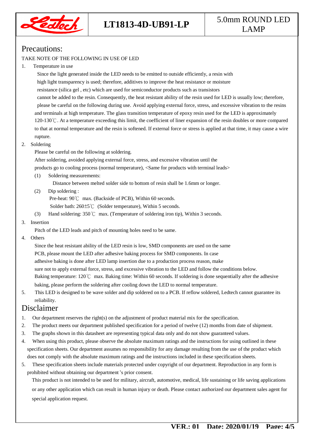

# **LT1813-4D-UB91-LP** 5.0mm ROUND LED LAMP

### Precautions:

#### TAKE NOTE OF THE FOLLOWING IN USE OF LED

#### 1. Temperature in use

 Since the light generated inside the LED needs to be emitted to outside efficiently, a resin with high light transparency is used; therefore, additives to improve the heat resistance or moisture resistance (silica gel , etc) which are used for semiconductor products such as transistors cannot be added to the resin. Consequently, the heat resistant ability of the resin used for LED is usually low; therefore, please be careful on the following during use. Avoid applying external force, stress, and excessive vibration to the resins and terminals at high temperature. The glass transition temperature of epoxy resin used for the LED is approximately 120-130℃. At a temperature exceeding this limit, the coefficient of liner expansion of the resin doubles or more compared to that at normal temperature and the resin is softened. If external force or stress is applied at that time, it may cause a wire rupture.

#### 2. Soldering

Please be careful on the following at soldering.

After soldering, avoided applying external force, stress, and excessive vibration until the

products go to cooling process (normal temperature), <Same for products with terminal leads>

(1) Soldering measurements:

Distance between melted solder side to bottom of resin shall be 1.6mm or longer.

(2) Dip soldering :

Pre-heat: 90℃ max. (Backside of PCB), Within 60 seconds.

Solder bath: 260±5℃ (Solder temperature), Within 5 seconds.

(3) Hand soldering: 350℃ max. (Temperature of soldering iron tip), Within 3 seconds.

#### 3. Insertion

Pitch of the LED leads and pitch of mounting holes need to be same.

4. Others

 Since the heat resistant ability of the LED resin is low, SMD components are used on the same PCB, please mount the LED after adhesive baking process for SMD components. In case adhesive baking is done after LED lamp insertion due to a production process reason, make sure not to apply external force, stress, and excessive vibration to the LED and follow the conditions below. Baking temperature: 120℃ max. Baking time: Within 60 seconds. If soldering is done sequentially after the adhesive baking, please perform the soldering after cooling down the LED to normal temperature.

5. This LED is designed to be wave solder and dip soldered on to a PCB. If reflow soldered, Ledtech cannot guarantee its reliability.

#### Disclaimer

- 1. Our department reserves the right(s) on the adjustment of product material mix for the specification.
- 2. The product meets our department published specification for a period of twelve (12) months from date of shipment.
- 3. The graphs shown in this datasheet are representing typical data only and do not show guaranteed values.
- 4. When using this product, please observe the absolute maximum ratings and the instructions for using outlined in these specification sheets. Our department assumes no responsibility for any damage resulting from the use of the product which does not comply with the absolute maximum ratings and the instructions included in these specification sheets.
- 5. These specification sheets include materials protected under copyright of our department. Reproduction in any form is prohibited without obtaining our department's prior consent.

This product is not intended to be used for military, aircraft, automotive, medical, life sustaining or life saving applications or any other application which can result in human injury or death. Please contact authorized our department sales agent for special application request.